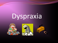## Dyspraxia





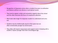- Recognition of dyspraxia comes when a student has poor co-ordination and balance without any obvious or perceptual causes
- They tend to appear untidy and somewhat ungainly about the school and this often becomes the focus of unwelcome attention.
- Most tasks take longer for dyspraxic student to understand and carry out.
- Students may be intellectually equal to their peers but are often emotionally younger by several years.
- They often still require reassurance and support more in keeping with a student 2-3years younger than their chronological age.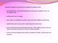Dyspraxic students may experience significant problems with:

- self organisation, especially keeping their possessions together and in an acceptable state.
- setting work out on a page.
- poor motor co-ordination results in slow and often illegible handwriting.
- spatial tasks such as map work, measuring and construction.
- tasks involving processing through listening i.e the auditory route, and may need to be shown what to do or have a visual reminder.
- science and technology lessons where standards of safety and precision are required.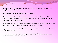•reading aloud in class where common problem areas include losing their place and struggling to read with expression.

•many dyspraxic students have difficulty with reading.

•PE which can result in problems with self esteem, especially in lessons involving team games, changing before and after PE where managing buttons, shoelaces and other fastenings can present a challenge.

•maths where the language and understanding of shape concepts may be harder, as well as the practical implications of using a ruler and counting equipment.

•a poor awareness of time and difficulties finding their way around may result in lateness to school and lessons.

•age appropriate activities such as riding a bike, catching a ball, balance, competitive sports and playing a musical instrument.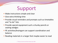## Support

- Make instructions simple and clear
- Give extra thinking time
- **Provide visual reminders and prompts such as timetables** and "to do" lists
- **Provide special equipment such a chunky pencils or** seating wedges
- PE activities/braingym can support coordination and balance
- Reading materials in a larger font maybe easier to read